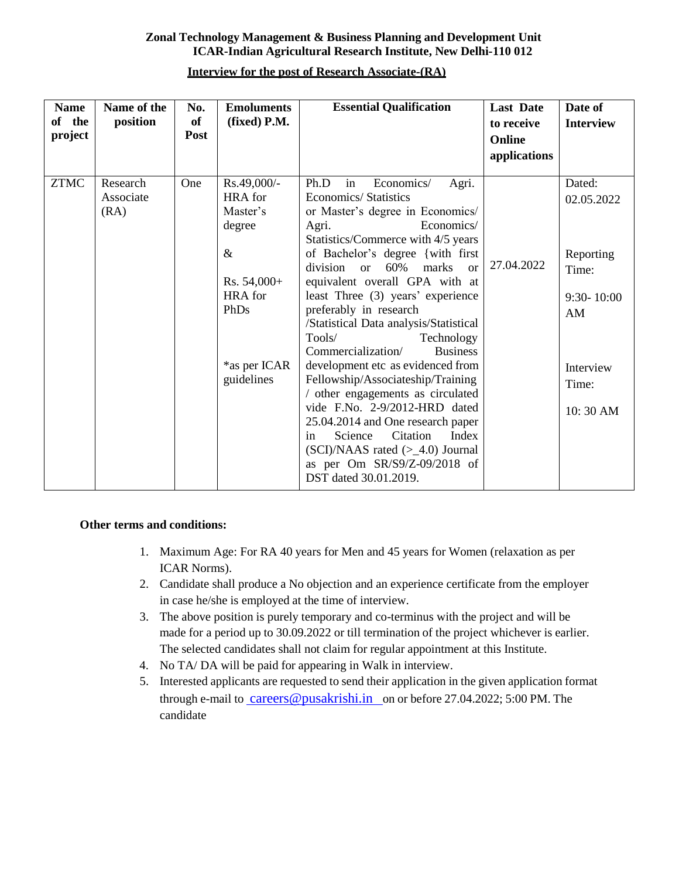### **Zonal Technology Management & Business Planning and Development Unit ICAR-Indian Agricultural Research Institute, New Delhi-110 012**

| <b>Name</b><br>of the<br>project | Name of the<br>position       | No.<br><b>of</b><br>Post | <b>Emoluments</b><br>(fixed) P.M.                                                                                                    | <b>Essential Qualification</b>                                                                                                                                                                                                                                                                                                                                                                                                                                                                                                                                                                                                                    | <b>Last Date</b><br>to receive<br>Online<br>applications | Date of<br><b>Interview</b>                                                                          |
|----------------------------------|-------------------------------|--------------------------|--------------------------------------------------------------------------------------------------------------------------------------|---------------------------------------------------------------------------------------------------------------------------------------------------------------------------------------------------------------------------------------------------------------------------------------------------------------------------------------------------------------------------------------------------------------------------------------------------------------------------------------------------------------------------------------------------------------------------------------------------------------------------------------------------|----------------------------------------------------------|------------------------------------------------------------------------------------------------------|
| <b>ZTMC</b>                      | Research<br>Associate<br>(RA) | One                      | Rs.49,000/-<br><b>HRA</b> for<br>Master's<br>degree<br>$\&$<br>$Rs. 54,000+$<br><b>HRA</b> for<br>PhDs<br>*as per ICAR<br>guidelines | Economics/<br>in<br>Ph.D<br>Agri.<br><b>Economics/Statistics</b><br>or Master's degree in Economics/<br>Economics/<br>Agri.<br>Statistics/Commerce with 4/5 years<br>of Bachelor's degree {with first<br>60%<br>marks<br>division or<br>$\alpha$<br>equivalent overall GPA with at<br>least Three (3) years' experience<br>preferably in research<br>/Statistical Data analysis/Statistical<br>Tools/<br>Technology<br>Commercialization/<br><b>Business</b><br>development etc as evidenced from<br>Fellowship/Associateship/Training<br>/ other engagements as circulated<br>vide F.No. 2-9/2012-HRD dated<br>25.04.2014 and One research paper | 27.04.2022                                               | Dated:<br>02.05.2022<br>Reporting<br>Time:<br>$9:30 - 10:00$<br>AM<br>Interview<br>Time:<br>10:30 AM |
|                                  |                               |                          |                                                                                                                                      | Citation<br>Index<br>Science<br>in<br>$(SCI)/NAAS$ rated $(>=4.0)$ Journal<br>as per Om SR/S9/Z-09/2018 of<br>DST dated 30.01.2019.                                                                                                                                                                                                                                                                                                                                                                                                                                                                                                               |                                                          |                                                                                                      |

### **Interview for the post of Research Associate-(RA)**

### **Other terms and conditions:**

- 1. Maximum Age: For RA 40 years for Men and 45 years for Women (relaxation as per ICAR Norms).
- 2. Candidate shall produce a No objection and an experience certificate from the employer in case he/she is employed at the time of interview.
- 3. The above position is purely temporary and co-terminus with the project and will be made for a period up to 30.09.2022 or till termination of the project whichever is earlier. The selected candidates shall not claim for regular appointment at this Institute.
- 4. No TA/ DA will be paid for appearing in Walk in interview.
- 5. Interested applicants are requested to send their application in the given application format through e-mail to [careers@pusakrishi.in](mailto:%20careers@pusakrishi.in�) on or before 27.04.2022; 5:00 PM. The candidate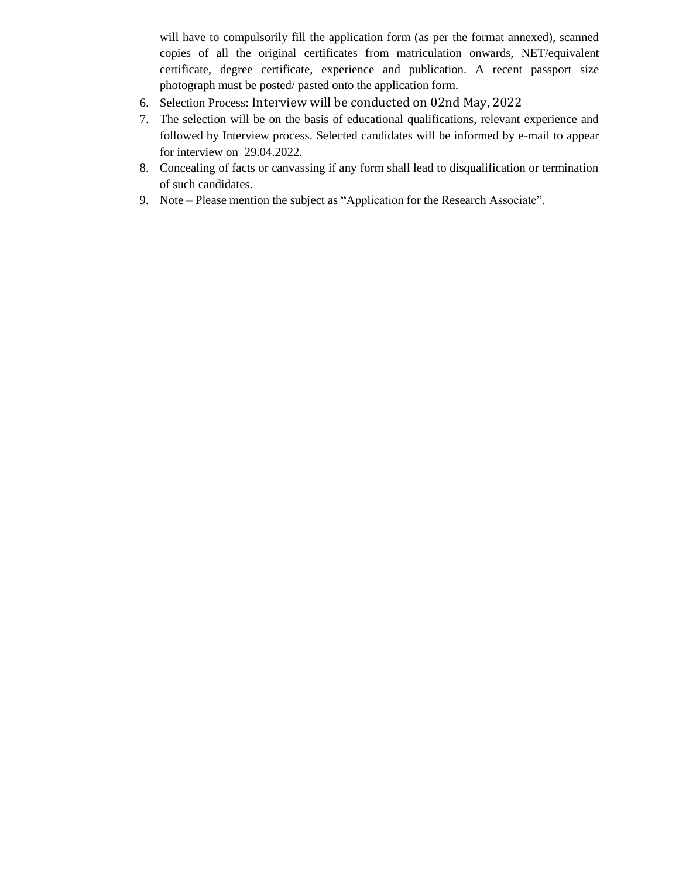will have to compulsorily fill the application form (as per the format annexed), scanned copies of all the original certificates from matriculation onwards, NET/equivalent certificate, degree certificate, experience and publication. A recent passport size photograph must be posted/ pasted onto the application form.

- 6. Selection Process: Interview will be conducted on 02nd May, 2022
- 7. The selection will be on the basis of educational qualifications, relevant experience and followed by Interview process. Selected candidates will be informed by e-mail to appear for interview on 29.04.2022.
- 8. Concealing of facts or canvassing if any form shall lead to disqualification or termination of such candidates.
- 9. Note Please mention the subject as "Application for the Research Associate".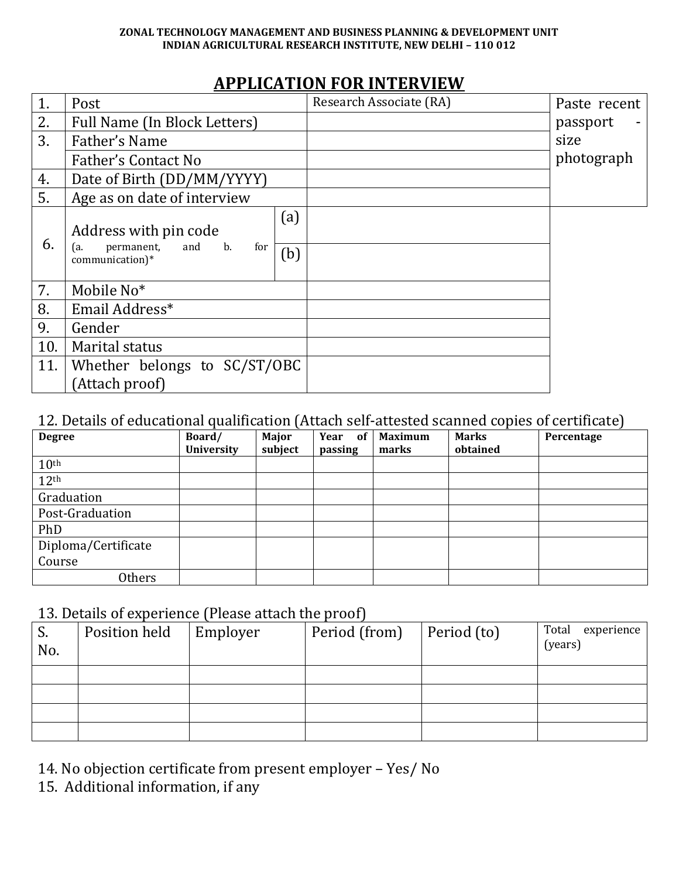#### **ZONAL TECHNOLOGY MANAGEMENT AND BUSINESS PLANNING & DEVELOPMENT UNIT INDIAN AGRICULTURAL RESEARCH INSTITUTE, NEW DELHI – 110 012**

# **APPLICATION FOR INTERVIEW**

| 1.  | Post                                                                              |                         | Research Associate (RA) | Paste recent |
|-----|-----------------------------------------------------------------------------------|-------------------------|-------------------------|--------------|
| 2.  | Full Name (In Block Letters)                                                      |                         |                         | passport     |
| 3.  | Father's Name                                                                     |                         |                         | size         |
|     | Father's Contact No                                                               |                         |                         | photograph   |
| 4.  | Date of Birth (DD/MM/YYYY)                                                        |                         |                         |              |
| 5.  | Age as on date of interview                                                       |                         |                         |              |
| 6.  | Address with pin code<br>permanent,<br>for<br>ra.<br>and<br>b.<br>communication)* | $\left(a\right)$<br>(b) |                         |              |
| 7.  | Mobile No*                                                                        |                         |                         |              |
| 8.  | Email Address*                                                                    |                         |                         |              |
| 9.  | Gender                                                                            |                         |                         |              |
| 10. | Marital status                                                                    |                         |                         |              |
| 11. | Whether belongs to SC/ST/OBC                                                      |                         |                         |              |
|     | (Attach proof)                                                                    |                         |                         |              |

### 12. Details of educational qualification (Attach self-attested scanned copies of certificate)

| <b>Degree</b>       | л.<br>Board/<br><b>University</b> | ``<br>Major<br>subject | of<br>Year<br>passing | <b>Maximum</b><br>marks | $\overline{\phantom{a}}$<br><b>Marks</b><br>obtained | ╯<br>Percentage |
|---------------------|-----------------------------------|------------------------|-----------------------|-------------------------|------------------------------------------------------|-----------------|
| 10 <sup>th</sup>    |                                   |                        |                       |                         |                                                      |                 |
|                     |                                   |                        |                       |                         |                                                      |                 |
| 12 <sup>th</sup>    |                                   |                        |                       |                         |                                                      |                 |
| Graduation          |                                   |                        |                       |                         |                                                      |                 |
| Post-Graduation     |                                   |                        |                       |                         |                                                      |                 |
| PhD                 |                                   |                        |                       |                         |                                                      |                 |
| Diploma/Certificate |                                   |                        |                       |                         |                                                      |                 |
| Course              |                                   |                        |                       |                         |                                                      |                 |
| <b>Others</b>       |                                   |                        |                       |                         |                                                      |                 |

## 13. Details of experience (Please attach the proof)

| 10. B otamb of the criteries in reade attach the proof. |               |          |               |             |                                |  |  |  |
|---------------------------------------------------------|---------------|----------|---------------|-------------|--------------------------------|--|--|--|
| S.<br>No.                                               | Position held | Employer | Period (from) | Period (to) | Total<br>experience<br>(years) |  |  |  |
|                                                         |               |          |               |             |                                |  |  |  |
|                                                         |               |          |               |             |                                |  |  |  |
|                                                         |               |          |               |             |                                |  |  |  |
|                                                         |               |          |               |             |                                |  |  |  |

14. No objection certificate from present employer – Yes/ No

15. Additional information, if any